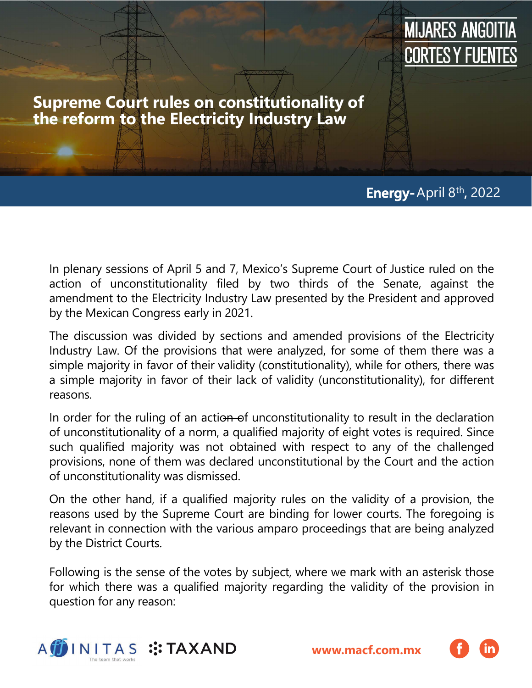

**Supreme Court rules on constitutionality of the reform to the Electricity Industry Law**

## **Energy-**April 8th **,** 2022

In plenary sessions of April 5 and 7, Mexico's Supreme Court of Justice ruled on the action of unconstitutionality filed by two thirds of the Senate, against the amendment to the Electricity Industry Law presented by the President and approved by the Mexican Congress early in 2021.

The discussion was divided by sections and amended provisions of the Electricity Industry Law. Of the provisions that were analyzed, for some of them there was a simple majority in favor of their validity (constitutionality), while for others, there was a simple majority in favor of their lack of validity (unconstitutionality), for different reasons.

In order for the ruling of an action of unconstitutionality to result in the declaration of unconstitutionality of a norm, a qualified majority of eight votes is required. Since such qualified majority was not obtained with respect to any of the challenged provisions, none of them was declared unconstitutional by the Court and the action of unconstitutionality was dismissed.

On the other hand, if a qualified majority rules on the validity of a provision, the reasons used by the Supreme Court are binding for lower courts. The foregoing is relevant in connection with the various amparo proceedings that are being analyzed by the District Courts.

Following is the sense of the votes by subject, where we mark with an asterisk those for which there was a qualified majority regarding the validity of the provision in question for any reason:



**[www.macf.com.mx](https://macf.com.mx/)**